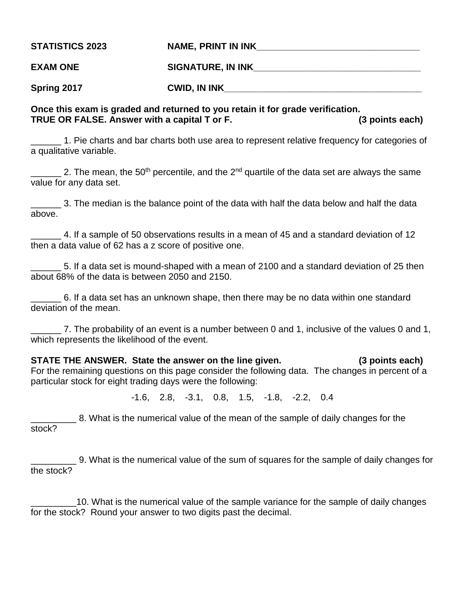**STATISTICS 2023 NAME, PRINT IN INK\_\_\_\_\_\_\_\_\_\_\_\_\_\_\_\_\_\_\_\_\_\_\_\_\_\_\_\_\_\_\_\_ EXAM ONE SIGNATURE, IN INK** 

**Spring 2017 CWID, IN INK\_\_\_\_\_\_\_\_\_\_\_\_\_\_\_\_\_\_\_\_\_\_\_\_\_\_\_\_\_\_\_\_\_\_\_\_\_\_\_**

# **Once this exam is graded and returned to you retain it for grade verification. TRUE OR FALSE. Answer with a capital T or F. (3 points each)**

1. Pie charts and bar charts both use area to represent relative frequency for categories of a qualitative variable.

2. The mean, the 50<sup>th</sup> percentile, and the 2<sup>nd</sup> quartile of the data set are always the same value for any data set.

\_\_\_\_\_\_ 3. The median is the balance point of the data with half the data below and half the data above.

\_\_\_\_\_\_ 4. If a sample of 50 observations results in a mean of 45 and a standard deviation of 12 then a data value of 62 has a z score of positive one.

\_\_\_\_\_\_ 5. If a data set is mound-shaped with a mean of 2100 and a standard deviation of 25 then about 68% of the data is between 2050 and 2150.

\_\_\_\_\_\_ 6. If a data set has an unknown shape, then there may be no data within one standard deviation of the mean.

\_\_\_\_\_\_ 7. The probability of an event is a number between 0 and 1, inclusive of the values 0 and 1, which represents the likelihood of the event.

**STATE THE ANSWER. State the answer on the line given. (3 points each)** For the remaining questions on this page consider the following data. The changes in percent of a particular stock for eight trading days were the following:

-1.6, 2.8, -3.1, 0.8, 1.5, -1.8, -2.2, 0.4

\_\_\_\_\_\_\_\_\_ 8. What is the numerical value of the mean of the sample of daily changes for the stock?

\_\_\_\_\_\_\_\_\_ 9. What is the numerical value of the sum of squares for the sample of daily changes for the stock?

10. What is the numerical value of the sample variance for the sample of daily changes for the stock? Round your answer to two digits past the decimal.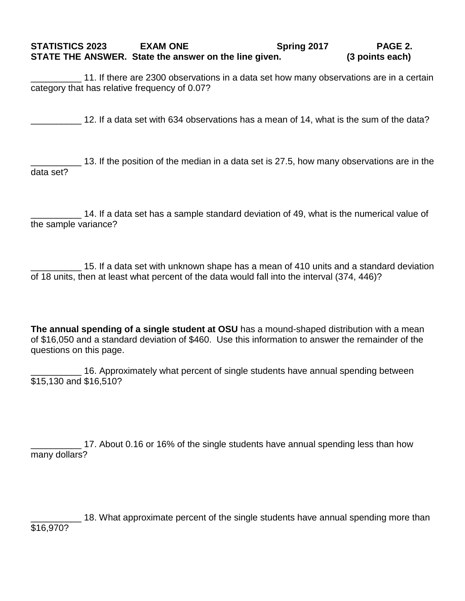## **STATISTICS 2023 EXAM ONE Spring 2017 PAGE 2. STATE THE ANSWER. State the answer on the line given. (3 points each)**

\_\_\_\_\_\_\_\_\_\_ 11. If there are 2300 observations in a data set how many observations are in a certain category that has relative frequency of 0.07?

\_\_\_\_\_\_\_\_\_\_ 12. If a data set with 634 observations has a mean of 14, what is the sum of the data?

\_\_\_\_\_\_\_\_\_\_ 13. If the position of the median in a data set is 27.5, how many observations are in the data set?

14. If a data set has a sample standard deviation of 49, what is the numerical value of the sample variance?

\_\_\_\_\_\_\_\_\_\_ 15. If a data set with unknown shape has a mean of 410 units and a standard deviation of 18 units, then at least what percent of the data would fall into the interval (374, 446)?

**The annual spending of a single student at OSU** has a mound-shaped distribution with a mean of \$16,050 and a standard deviation of \$460. Use this information to answer the remainder of the questions on this page.

16. Approximately what percent of single students have annual spending between \$15,130 and \$16,510?

17. About 0.16 or 16% of the single students have annual spending less than how many dollars?

18. What approximate percent of the single students have annual spending more than \$16,970?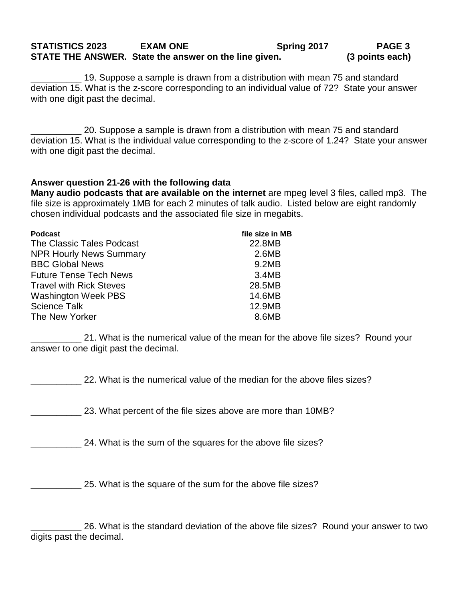#### **STATISTICS 2023 EXAM ONE Spring 2017 PAGE 3 STATE THE ANSWER. State the answer on the line given. (3 points each)**

\_\_\_\_\_\_\_\_\_\_ 19. Suppose a sample is drawn from a distribution with mean 75 and standard deviation 15. What is the z-score corresponding to an individual value of 72? State your answer with one digit past the decimal.

\_\_\_\_\_\_\_\_\_\_ 20. Suppose a sample is drawn from a distribution with mean 75 and standard deviation 15. What is the individual value corresponding to the z-score of 1.24? State your answer with one digit past the decimal.

### **Answer question 21-26 with the following data**

**Many audio podcasts that are available on the internet** are mpeg level 3 files, called mp3. The file size is approximately 1MB for each 2 minutes of talk audio. Listed below are eight randomly chosen individual podcasts and the associated file size in megabits.

| <b>Podcast</b>                 | file size in MB |
|--------------------------------|-----------------|
| The Classic Tales Podcast      | 22.8MB          |
| <b>NPR Hourly News Summary</b> | 2.6MB           |
| <b>BBC Global News</b>         | 9.2MB           |
| <b>Future Tense Tech News</b>  | 3.4MB           |
| <b>Travel with Rick Steves</b> | 28.5MB          |
| <b>Washington Week PBS</b>     | 14.6MB          |
| <b>Science Talk</b>            | 12.9MB          |
| The New Yorker                 | 8.6MB           |
|                                |                 |

21. What is the numerical value of the mean for the above file sizes? Round your answer to one digit past the decimal.

\_\_\_\_\_\_\_\_\_\_ 22. What is the numerical value of the median for the above files sizes?

\_\_\_\_\_\_\_\_\_\_ 23. What percent of the file sizes above are more than 10MB?

24. What is the sum of the squares for the above file sizes?

25. What is the square of the sum for the above file sizes?

26. What is the standard deviation of the above file sizes? Round your answer to two digits past the decimal.